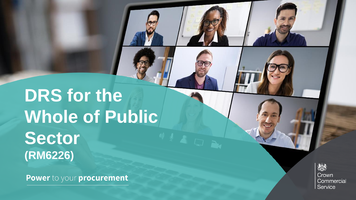## **DRS** for the **Whole of Public Sector (RM6226)**

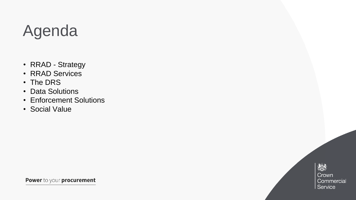### Agenda

- RRAD Strategy
- RRAD Services
- The DRS
- Data Solutions
- Enforcement Solutions
- Social Value

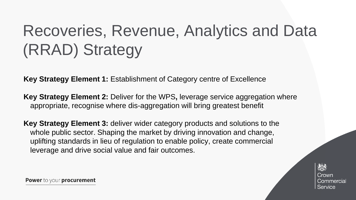# Recoveries, Revenue, Analytics and Data (RRAD) Strategy

**Key Strategy Element 1:** Establishment of Category centre of Excellence

**Key Strategy Element 2:** Deliver for the WPS**,** leverage service aggregation where appropriate, recognise where dis-aggregation will bring greatest benefit

**Key Strategy Element 3:** deliver wider category products and solutions to the whole public sector. Shaping the market by driving innovation and change, uplifting standards in lieu of regulation to enable policy, create commercial leverage and drive social value and fair outcomes.

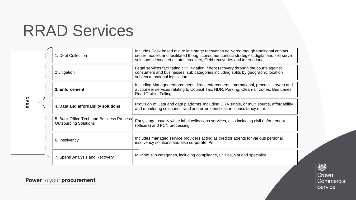#### RRAD Services

| <b>RRAD</b><br>$\cdots$ |  | 1. Debt Collection                                                       | Includes Desk based mid to late stage recoveries delivered though traditional contact<br>centre models and facilitated though consumer contact strategies, digital and self serve<br>solutions, deceased estates recovery, Field recoveries and international |
|-------------------------|--|--------------------------------------------------------------------------|---------------------------------------------------------------------------------------------------------------------------------------------------------------------------------------------------------------------------------------------------------------|
|                         |  | 2 Litigation                                                             | Legal services facilitating civil litigation / debt recovery through the courts against<br>consumers and businesses, sub categories including splits by geographic location<br>subject to national legislation                                                |
|                         |  | 3. Enforcement                                                           | Including Managed enforcement, direct enforcement, International, process servers and<br>auctioneer services relating to Council Tax, NDR, Parking, Clean-air zones, Bus Lanes,<br>Road Traffic, Tolling.                                                     |
|                         |  | 4. Data and affordability solutions                                      | Provision of Data and data platforms including CRA single, or multi source, affordability<br>and monitoring solutions, fraud and error identification, consultancy et al.                                                                                     |
|                         |  | 5. Back Office Tech and Business Process<br><b>Outsourcing Solutions</b> | Early stage usually white label collections services, also including civil enforcement<br>(officers) and PCN processing.                                                                                                                                      |
|                         |  | 6. Insolvency                                                            | Includes managed service providers acting as creditor agents for various personal<br>insolvency solutions and also corporate IPs                                                                                                                              |
|                         |  | 7. Spend Analysis and Recovery                                           | Multiple sub categories, including compliance, utilities, Vat and specialist                                                                                                                                                                                  |

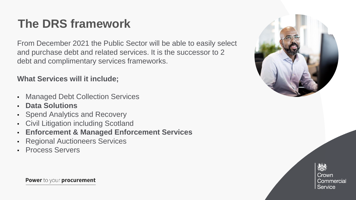#### **The DRS framework**

From December 2021 the Public Sector will be able to easily select and purchase debt and related services. It is the successor to 2 debt and complimentary services frameworks.

#### **What Services will it include;**

- Managed Debt Collection Services
- **Data Solutions**
- **Spend Analytics and Recovery**
- Civil Litigation including Scotland
- **Enforcement & Managed Enforcement Services**
- **Regional Auctioneers Services**
- Process Servers



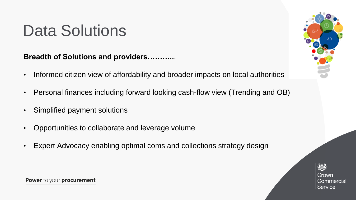#### Data Solutions

**Breadth of Solutions and providers………..**.

- Informed citizen view of affordability and broader impacts on local authorities
- Personal finances including forward looking cash-flow view (Trending and OB)
- Simplified payment solutions
- Opportunities to collaborate and leverage volume
- Expert Advocacy enabling optimal coms and collections strategy design



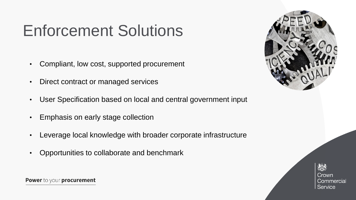### Enforcement Solutions

- Compliant, low cost, supported procurement
- Direct contract or managed services
- User Specification based on local and central government input
- Emphasis on early stage collection
- Leverage local knowledge with broader corporate infrastructure
- Opportunities to collaborate and benchmark



ૹૢૺૺઙૺ Crown Commercial Service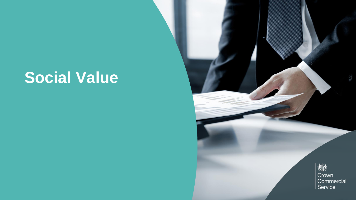#### **Social Value**

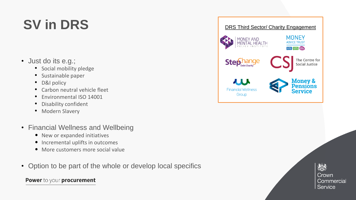#### **SV in DRS**

- Just do its e.g.;
	- Social mobility pledge
	- Sustainable paper
	- D&I policy
	- Carbon neutral vehicle fleet
	- Environmental ISO 14001
	- Disability confident
	- Modern Slavery
- Financial Wellness and Wellbeing
	- New or expanded initiatives
	- Incremental uplifts in outcomes
	- More customers more social value
- Option to be part of the whole or develop local specifics